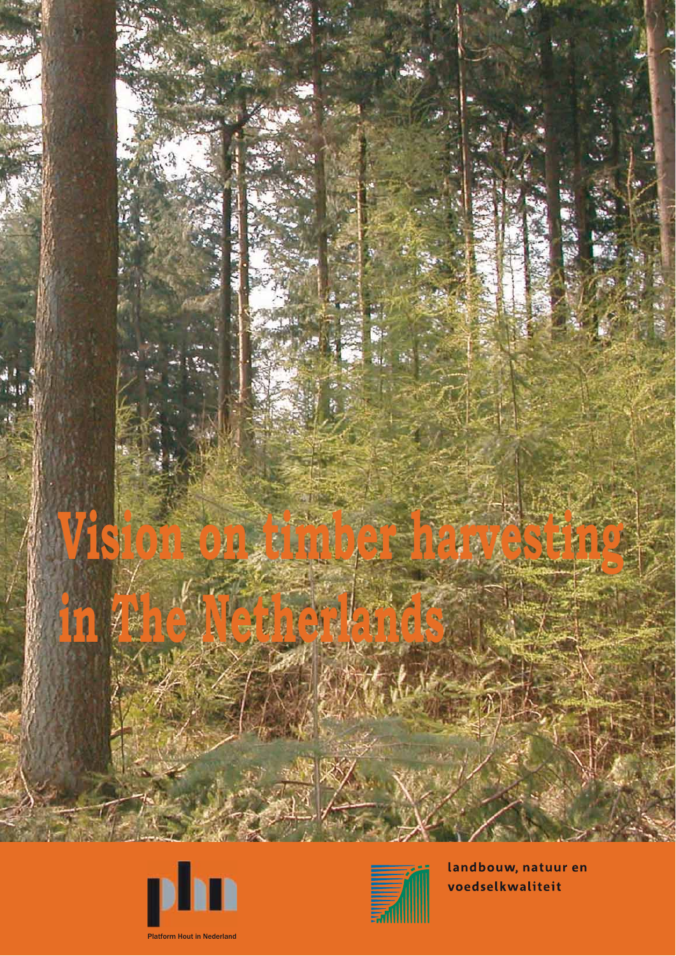





landbouw, natuur en voedselkwaliteit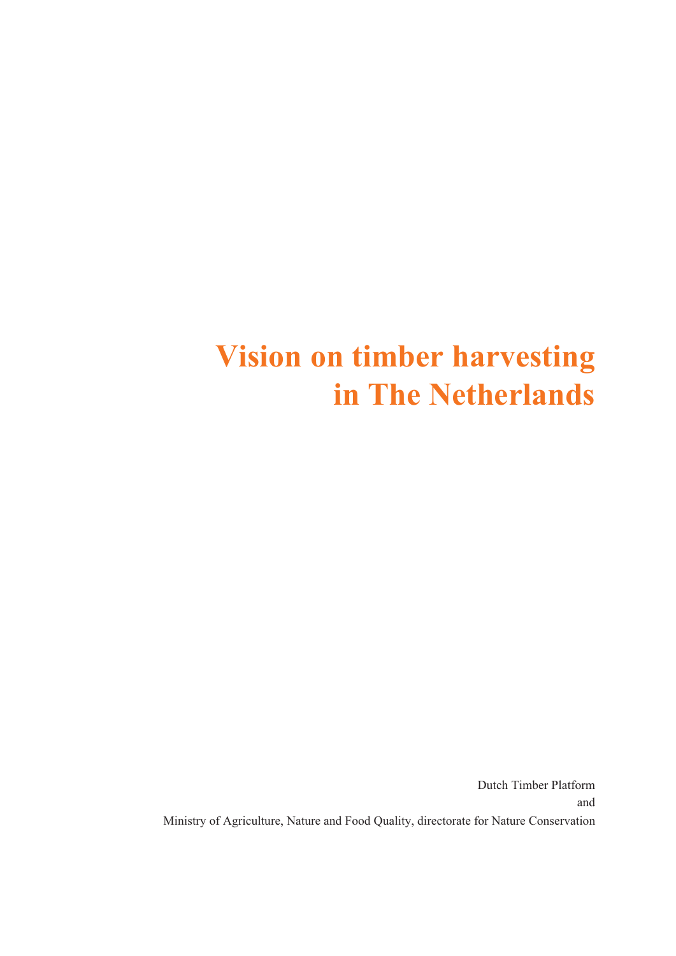# **Vision on timber harvesting in The Netherlands**

Dutch Timber Platform Ministry of Agriculture, Nature and Food Quality, directorate for Nature Conservation and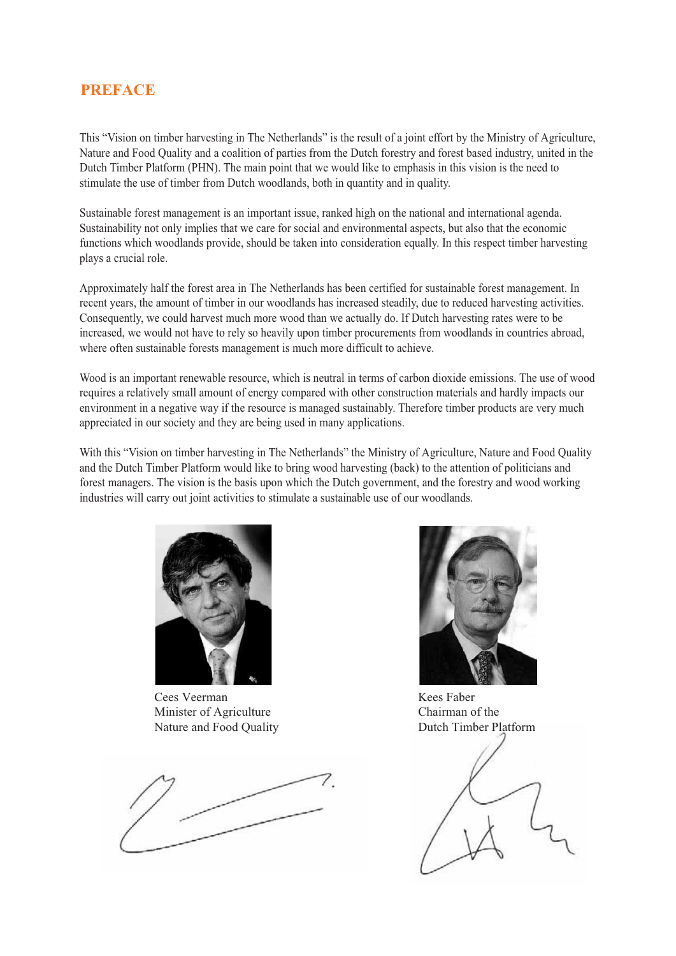# **PREFACE**

This "Vision on timber harvesting in The Netherlands" is the result of a joint effort by the Ministry of Agriculture, Nature and Food Quality and a coalition of parties from the Dutch forestry and forest based industry, united in the Dutch Timber Platform (PHN). The main point that we would like to emphasis in this vision is the need to stimulate the use of timber from Dutch woodlands, both in quantity and in quality.

Sustainable forest management is an important issue, ranked high on the national and international agenda. Sustainability not only implies that we care for social and environmental aspects, but also that the economic functions which woodlands provide, should be taken into consideration equally. In this respect timber harvesting plays a crucial role.

Approximately half the forest area in The Netherlands has been certified for sustainable forest management. In recent years, the amount of timber in our woodlands has increased steadily, due to reduced harvesting activities. Consequently, we could harvest much more wood than we actually do. If Dutch harvesting rates were to be increased, we would not have to rely so heavily upon timber procurements from woodlands in countries abroad, where often sustainable forests management is much more difficult to achieve.

Wood is an important renewable resource, which is neutral in terms of carbon dioxide emissions. The use of wood requires a relatively small amount of energy compared with other construction materials and hardly impacts our environment in a negative way if the resource is managed sustainably. Therefore timber products are very much appreciated in our society and they are being used in many applications.

With this "Vision on timber harvesting in The Netherlands" the Ministry of Agriculture, Nature and Food Quality and the Dutch Timber Platform would like to bring wood harvesting (back) to the attention of politicians and forest managers. The vision is the basis upon which the Dutch government, and the forestry and wood working industries will carry out joint activities to stimulate a sustainable use of our woodlands.



Cees Veerman Minister of Agriculture Nature and Food Quality





Kees Faber Chairman of the Dutch Timber Platform

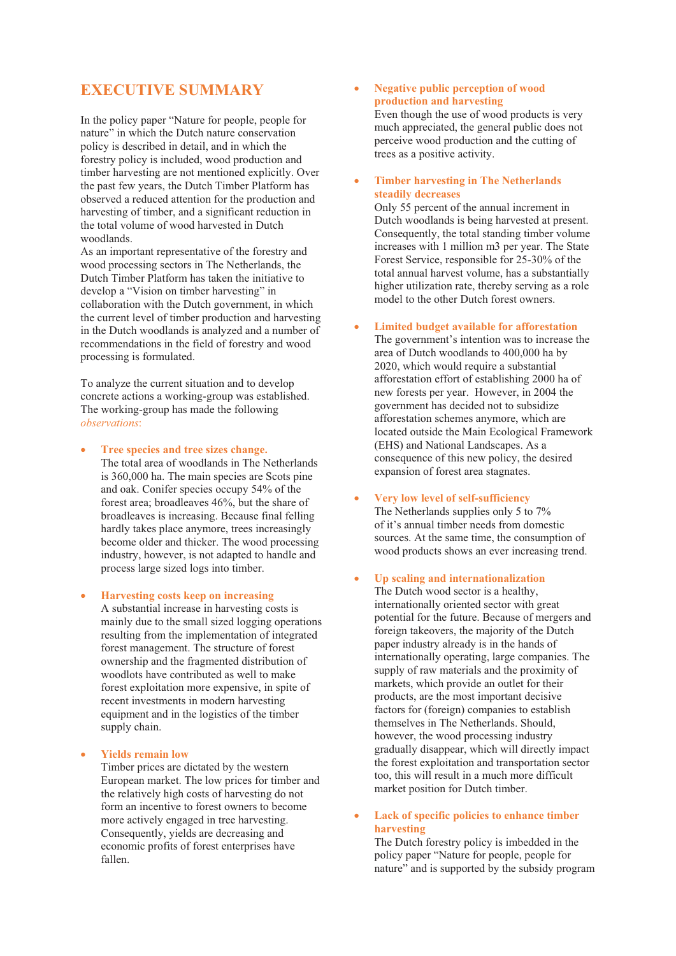# **EXECUTIVE SUMMARY**

In the policy paper "Nature for people, people for nature" in which the Dutch nature conservation policy is described in detail, and in which the forestry policy is included, wood production and timber harvesting are not mentioned explicitly. Over the past few years, the Dutch Timber Platform has observed a reduced attention for the production and harvesting of timber, and a significant reduction in the total volume of wood harvested in Dutch woodlands.

As an important representative of the forestry and wood processing sectors in The Netherlands, the Dutch Timber Platform has taken the initiative to develop a "Vision on timber harvesting" in collaboration with the Dutch government, in which the current level of timber production and harvesting in the Dutch woodlands is analyzed and a number of recommendations in the field of forestry and wood processing is formulated.

To analyze the current situation and to develop concrete actions a working-group was established. The working-group has made the following *observations*:

• **Tree species and tree sizes change.** 

- The total area of woodlands in The Netherlands is 360,000 ha. The main species are Scots pine and oak. Conifer species occupy 54% of the forest area; broadleaves 46%, but the share of broadleaves is increasing. Because final felling hardly takes place anymore, trees increasingly become older and thicker. The wood processing industry, however, is not adapted to handle and process large sized logs into timber.
- **Harvesting costs keep on increasing**  A substantial increase in harvesting costs is mainly due to the small sized logging operations resulting from the implementation of integrated forest management. The structure of forest ownership and the fragmented distribution of woodlots have contributed as well to make forest exploitation more expensive, in spite of recent investments in modern harvesting equipment and in the logistics of the timber supply chain.
- **Yields remain low**  Timber prices are dictated by the western European market. The low prices for timber and the relatively high costs of harvesting do not form an incentive to forest owners to become more actively engaged in tree harvesting. Consequently, yields are decreasing and economic profits of forest enterprises have fallen.

## • **Negative public perception of wood production and harvesting**

Even though the use of wood products is very much appreciated, the general public does not perceive wood production and the cutting of trees as a positive activity.

# • **Timber harvesting in The Netherlands steadily decreases**

Only 55 percent of the annual increment in Dutch woodlands is being harvested at present. Consequently, the total standing timber volume increases with 1 million m3 per year. The State Forest Service, responsible for 25-30% of the total annual harvest volume, has a substantially higher utilization rate, thereby serving as a role model to the other Dutch forest owners.

#### • **Limited budget available for afforestation**

The government's intention was to increase the area of Dutch woodlands to 400,000 ha by 2020, which would require a substantial afforestation effort of establishing 2000 ha of new forests per year. However, in 2004 the government has decided not to subsidize afforestation schemes anymore, which are located outside the Main Ecological Framework (EHS) and National Landscapes. As a consequence of this new policy, the desired expansion of forest area stagnates.

#### • **Very low level of self-sufficiency**

The Netherlands supplies only 5 to 7% of it's annual timber needs from domestic sources. At the same time, the consumption of wood products shows an ever increasing trend.

# • **Up scaling and internationalization**

The Dutch wood sector is a healthy, internationally oriented sector with great potential for the future. Because of mergers and foreign takeovers, the majority of the Dutch paper industry already is in the hands of internationally operating, large companies. The supply of raw materials and the proximity of markets, which provide an outlet for their products, are the most important decisive factors for (foreign) companies to establish themselves in The Netherlands. Should, however, the wood processing industry gradually disappear, which will directly impact the forest exploitation and transportation sector too, this will result in a much more difficult market position for Dutch timber.

## • **Lack of specific policies to enhance timber harvesting**

The Dutch forestry policy is imbedded in the policy paper "Nature for people, people for nature" and is supported by the subsidy program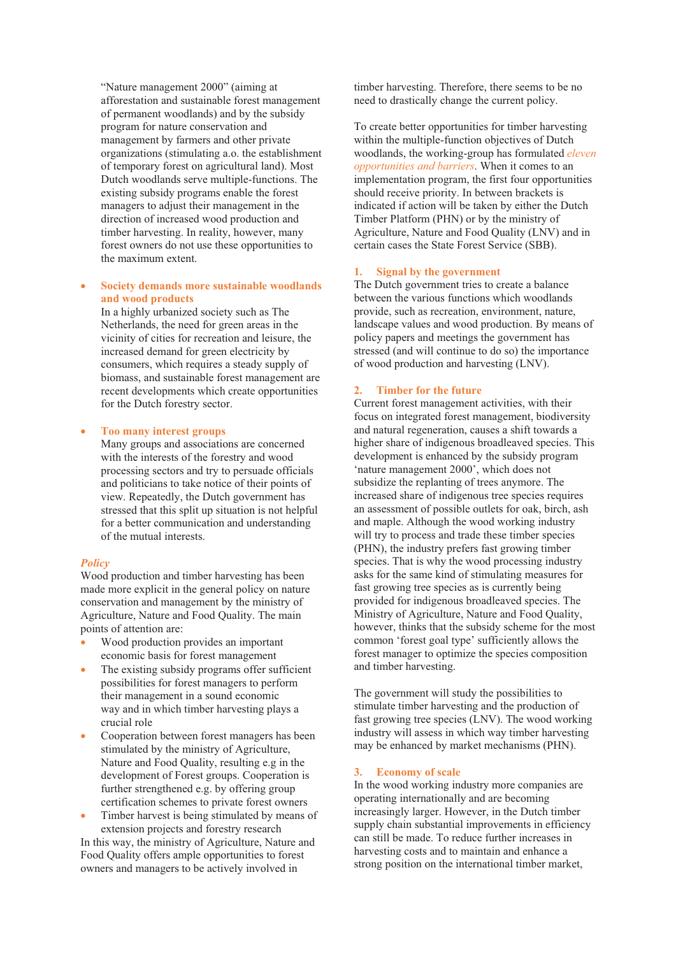"Nature management 2000" (aiming at afforestation and sustainable forest management of permanent woodlands) and by the subsidy program for nature conservation and management by farmers and other private organizations (stimulating a.o. the establishment of temporary forest on agricultural land). Most Dutch woodlands serve multiple-functions. The existing subsidy programs enable the forest managers to adjust their management in the direction of increased wood production and timber harvesting. In reality, however, many forest owners do not use these opportunities to the maximum extent.

# • **Society demands more sustainable woodlands and wood products**

In a highly urbanized society such as The Netherlands, the need for green areas in the vicinity of cities for recreation and leisure, the increased demand for green electricity by consumers, which requires a steady supply of biomass, and sustainable forest management are recent developments which create opportunities for the Dutch forestry sector.

• **Too many interest groups** 

Many groups and associations are concerned with the interests of the forestry and wood processing sectors and try to persuade officials and politicians to take notice of their points of view. Repeatedly, the Dutch government has stressed that this split up situation is not helpful for a better communication and understanding of the mutual interests.

#### *Policy*

Wood production and timber harvesting has been made more explicit in the general policy on nature conservation and management by the ministry of Agriculture, Nature and Food Quality. The main points of attention are:

- Wood production provides an important economic basis for forest management
- The existing subsidy programs offer sufficient possibilities for forest managers to perform their management in a sound economic way and in which timber harvesting plays a crucial role
- Cooperation between forest managers has been stimulated by the ministry of Agriculture, Nature and Food Quality, resulting e.g in the development of Forest groups. Cooperation is further strengthened e.g. by offering group certification schemes to private forest owners
- Timber harvest is being stimulated by means of extension projects and forestry research In this way, the ministry of Agriculture, Nature and Food Quality offers ample opportunities to forest owners and managers to be actively involved in

timber harvesting. Therefore, there seems to be no need to drastically change the current policy.

To create better opportunities for timber harvesting within the multiple-function objectives of Dutch woodlands, the working-group has formulated *eleven opportunities and barriers*. When it comes to an implementation program, the first four opportunities should receive priority. In between brackets is indicated if action will be taken by either the Dutch Timber Platform (PHN) or by the ministry of Agriculture, Nature and Food Quality (LNV) and in certain cases the State Forest Service (SBB).

#### **1. Signal by the government**

The Dutch government tries to create a balance between the various functions which woodlands provide, such as recreation, environment, nature, landscape values and wood production. By means of policy papers and meetings the government has stressed (and will continue to do so) the importance of wood production and harvesting (LNV).

#### **2. Timber for the future**

Current forest management activities, with their focus on integrated forest management, biodiversity and natural regeneration, causes a shift towards a higher share of indigenous broadleaved species. This development is enhanced by the subsidy program 'nature management 2000', which does not subsidize the replanting of trees anymore. The increased share of indigenous tree species requires an assessment of possible outlets for oak, birch, ash and maple. Although the wood working industry will try to process and trade these timber species (PHN), the industry prefers fast growing timber species. That is why the wood processing industry asks for the same kind of stimulating measures for fast growing tree species as is currently being provided for indigenous broadleaved species. The Ministry of Agriculture, Nature and Food Quality, however, thinks that the subsidy scheme for the most common 'forest goal type' sufficiently allows the forest manager to optimize the species composition and timber harvesting.

The government will study the possibilities to stimulate timber harvesting and the production of fast growing tree species (LNV). The wood working industry will assess in which way timber harvesting may be enhanced by market mechanisms (PHN).

#### **3. Economy of scale**

In the wood working industry more companies are operating internationally and are becoming increasingly larger. However, in the Dutch timber supply chain substantial improvements in efficiency can still be made. To reduce further increases in harvesting costs and to maintain and enhance a strong position on the international timber market,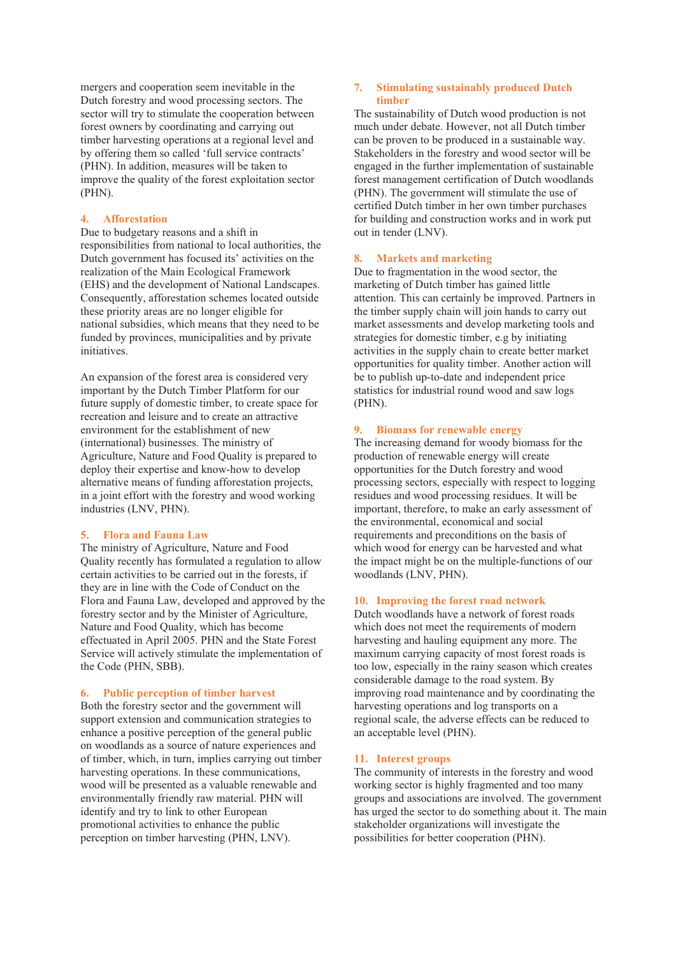mergers and cooperation seem inevitable in the Dutch forestry and wood processing sectors. The sector will try to stimulate the cooperation between forest owners by coordinating and carrying out timber harvesting operations at a regional level and by offering them so called 'full service contracts' (PHN). In addition, measures will be taken to improve the quality of the forest exploitation sector (PHN).

### **4. Afforestation**

Due to budgetary reasons and a shift in responsibilities from national to local authorities, the Dutch government has focused its' activities on the realization of the Main Ecological Framework (EHS) and the development of National Landscapes. Consequently, afforestation schemes located outside these priority areas are no longer eligible for national subsidies, which means that they need to be funded by provinces, municipalities and by private initiatives.

An expansion of the forest area is considered very important by the Dutch Timber Platform for our future supply of domestic timber, to create space for recreation and leisure and to create an attractive environment for the establishment of new (international) businesses. The ministry of Agriculture, Nature and Food Quality is prepared to deploy their expertise and know-how to develop alternative means of funding afforestation projects, in a joint effort with the forestry and wood working industries (LNV, PHN).

#### **5. Flora and Fauna Law**

The ministry of Agriculture, Nature and Food Quality recently has formulated a regulation to allow certain activities to be carried out in the forests, if they are in line with the Code of Conduct on the Flora and Fauna Law, developed and approved by the forestry sector and by the Minister of Agriculture, Nature and Food Quality, which has become effectuated in April 2005. PHN and the State Forest Service will actively stimulate the implementation of the Code (PHN, SBB).

#### **6. Public perception of timber harvest**

Both the forestry sector and the government will support extension and communication strategies to enhance a positive perception of the general public on woodlands as a source of nature experiences and of timber, which, in turn, implies carrying out timber harvesting operations. In these communications, wood will be presented as a valuable renewable and environmentally friendly raw material. PHN will identify and try to link to other European promotional activities to enhance the public perception on timber harvesting (PHN, LNV).

#### **7. Stimulating sustainably produced Dutch timber**

The sustainability of Dutch wood production is not much under debate. However, not all Dutch timber can be proven to be produced in a sustainable way. Stakeholders in the forestry and wood sector will be engaged in the further implementation of sustainable forest management certification of Dutch woodlands (PHN). The government will stimulate the use of certified Dutch timber in her own timber purchases for building and construction works and in work put out in tender (LNV).

# **8. Markets and marketing**

Due to fragmentation in the wood sector, the marketing of Dutch timber has gained little attention. This can certainly be improved. Partners in the timber supply chain will join hands to carry out market assessments and develop marketing tools and strategies for domestic timber, e.g by initiating activities in the supply chain to create better market opportunities for quality timber. Another action will be to publish up-to-date and independent price statistics for industrial round wood and saw logs (PHN).

#### **9. Biomass for renewable energy**

The increasing demand for woody biomass for the production of renewable energy will create opportunities for the Dutch forestry and wood processing sectors, especially with respect to logging residues and wood processing residues. It will be important, therefore, to make an early assessment of the environmental, economical and social requirements and preconditions on the basis of which wood for energy can be harvested and what the impact might be on the multiple-functions of our woodlands (LNV, PHN).

#### **10. Improving the forest road network**

Dutch woodlands have a network of forest roads which does not meet the requirements of modern harvesting and hauling equipment any more. The maximum carrying capacity of most forest roads is too low, especially in the rainy season which creates considerable damage to the road system. By improving road maintenance and by coordinating the harvesting operations and log transports on a regional scale, the adverse effects can be reduced to an acceptable level (PHN).

#### **11. Interest groups**

The community of interests in the forestry and wood working sector is highly fragmented and too many groups and associations are involved. The government has urged the sector to do something about it. The main stakeholder organizations will investigate the possibilities for better cooperation (PHN).